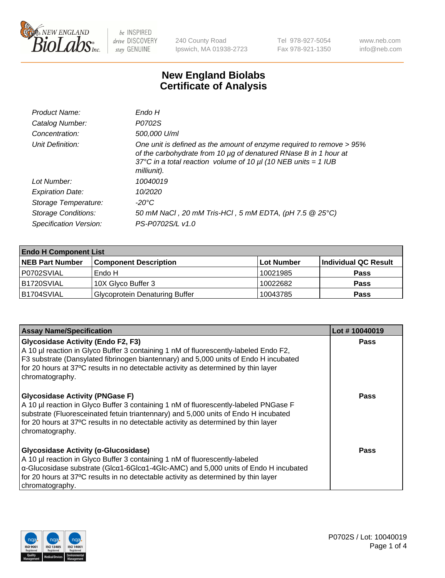

240 County Road Ipswich, MA 01938-2723 Tel 978-927-5054 Fax 978-921-1350 www.neb.com info@neb.com

## **New England Biolabs Certificate of Analysis**

| Endo H                                                                                                                                                                                                                         |
|--------------------------------------------------------------------------------------------------------------------------------------------------------------------------------------------------------------------------------|
| P0702S                                                                                                                                                                                                                         |
| 500,000 U/ml                                                                                                                                                                                                                   |
| One unit is defined as the amount of enzyme required to remove > 95%<br>of the carbohydrate from 10 µg of denatured RNase B in 1 hour at<br>37°C in a total reaction volume of 10 $\mu$ I (10 NEB units = 1 IUB<br>milliunit). |
| 10040019                                                                                                                                                                                                                       |
| 10/2020                                                                                                                                                                                                                        |
| -20°C                                                                                                                                                                                                                          |
| 50 mM NaCl, 20 mM Tris-HCl, 5 mM EDTA, (pH 7.5 @ 25°C)                                                                                                                                                                         |
| PS-P0702S/L v1.0                                                                                                                                                                                                               |
|                                                                                                                                                                                                                                |

| <b>Endo H Component List</b> |                                       |            |                      |  |
|------------------------------|---------------------------------------|------------|----------------------|--|
| <b>NEB Part Number</b>       | <b>Component Description</b>          | Lot Number | Individual QC Result |  |
| P0702SVIAL                   | Endo H                                | 10021985   | <b>Pass</b>          |  |
| B1720SVIAL                   | 10X Glyco Buffer 3                    | 10022682   | <b>Pass</b>          |  |
| B1704SVIAL                   | <b>Glycoprotein Denaturing Buffer</b> | 10043785   | <b>Pass</b>          |  |

| <b>Assay Name/Specification</b>                                                                                                                                                                                                                                                                                                               | Lot #10040019 |
|-----------------------------------------------------------------------------------------------------------------------------------------------------------------------------------------------------------------------------------------------------------------------------------------------------------------------------------------------|---------------|
| <b>Glycosidase Activity (Endo F2, F3)</b><br>A 10 µl reaction in Glyco Buffer 3 containing 1 nM of fluorescently-labeled Endo F2,<br>F3 substrate (Dansylated fibrinogen biantennary) and 5,000 units of Endo H incubated<br>for 20 hours at 37°C results in no detectable activity as determined by thin layer<br>chromatography.            | <b>Pass</b>   |
| <b>Glycosidase Activity (PNGase F)</b><br>A 10 µl reaction in Glyco Buffer 3 containing 1 nM of fluorescently-labeled PNGase F<br>substrate (Fluoresceinated fetuin triantennary) and 5,000 units of Endo H incubated<br>for 20 hours at 37°C results in no detectable activity as determined by thin layer<br>chromatography.                | Pass          |
| Glycosidase Activity (α-Glucosidase)<br>A 10 µl reaction in Glyco Buffer 3 containing 1 nM of fluorescently-labeled<br>$\alpha$ -Glucosidase substrate (Glc $\alpha$ 1-6Glc $\alpha$ 1-4Glc-AMC) and 5,000 units of Endo H incubated<br>for 20 hours at 37°C results in no detectable activity as determined by thin layer<br>chromatography. | Pass          |

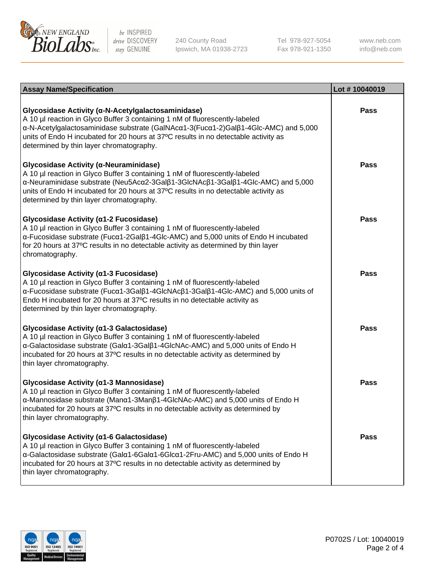

240 County Road Ipswich, MA 01938-2723 Tel 978-927-5054 Fax 978-921-1350

www.neb.com info@neb.com

| <b>Assay Name/Specification</b>                                                                                                                                                                                                                                                                                                                             | Lot #10040019 |
|-------------------------------------------------------------------------------------------------------------------------------------------------------------------------------------------------------------------------------------------------------------------------------------------------------------------------------------------------------------|---------------|
| Glycosidase Activity (α-N-Acetylgalactosaminidase)<br>A 10 µl reaction in Glyco Buffer 3 containing 1 nM of fluorescently-labeled<br>α-N-Acetylgalactosaminidase substrate (GalNAcα1-3(Fucα1-2)Galβ1-4Glc-AMC) and 5,000<br>units of Endo H incubated for 20 hours at 37°C results in no detectable activity as<br>determined by thin layer chromatography. | <b>Pass</b>   |
| Glycosidase Activity (α-Neuraminidase)<br>A 10 µl reaction in Glyco Buffer 3 containing 1 nM of fluorescently-labeled<br>α-Neuraminidase substrate (Neu5Acα2-3Galβ1-3GlcNAcβ1-3Galβ1-4Glc-AMC) and 5,000<br>units of Endo H incubated for 20 hours at 37°C results in no detectable activity as<br>determined by thin layer chromatography.                 | <b>Pass</b>   |
| Glycosidase Activity (α1-2 Fucosidase)<br>A 10 µl reaction in Glyco Buffer 3 containing 1 nM of fluorescently-labeled<br>α-Fucosidase substrate (Fucα1-2Galβ1-4Glc-AMC) and 5,000 units of Endo H incubated<br>for 20 hours at 37°C results in no detectable activity as determined by thin layer<br>chromatography.                                        | <b>Pass</b>   |
| Glycosidase Activity (α1-3 Fucosidase)<br>A 10 µl reaction in Glyco Buffer 3 containing 1 nM of fluorescently-labeled<br>α-Fucosidase substrate (Fucα1-3Galβ1-4GlcNAcβ1-3Galβ1-4Glc-AMC) and 5,000 units of<br>Endo H incubated for 20 hours at 37°C results in no detectable activity as<br>determined by thin layer chromatography.                       | <b>Pass</b>   |
| Glycosidase Activity (α1-3 Galactosidase)<br>A 10 µl reaction in Glyco Buffer 3 containing 1 nM of fluorescently-labeled<br>α-Galactosidase substrate (Galα1-3Galβ1-4GlcNAc-AMC) and 5,000 units of Endo H<br>incubated for 20 hours at 37°C results in no detectable activity as determined by<br>thin layer chromatography.                               | <b>Pass</b>   |
| Glycosidase Activity (a1-3 Mannosidase)<br>A 10 µl reaction in Glyco Buffer 3 containing 1 nM of fluorescently-labeled<br>α-Mannosidase substrate (Manα1-3Manβ1-4GlcNAc-AMC) and 5,000 units of Endo H<br>incubated for 20 hours at 37°C results in no detectable activity as determined by<br>thin layer chromatography.                                   | <b>Pass</b>   |
| Glycosidase Activity (a1-6 Galactosidase)<br>A 10 µl reaction in Glyco Buffer 3 containing 1 nM of fluorescently-labeled<br>α-Galactosidase substrate (Galα1-6Galα1-6Glcα1-2Fru-AMC) and 5,000 units of Endo H<br>incubated for 20 hours at 37°C results in no detectable activity as determined by<br>thin layer chromatography.                           | <b>Pass</b>   |

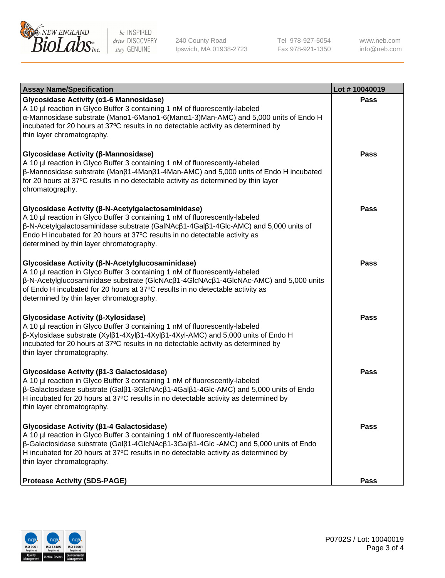

240 County Road Ipswich, MA 01938-2723 Tel 978-927-5054 Fax 978-921-1350 www.neb.com info@neb.com

| <b>Assay Name/Specification</b>                                                                                                                                                                                                                                                                                                                                              | Lot #10040019 |
|------------------------------------------------------------------------------------------------------------------------------------------------------------------------------------------------------------------------------------------------------------------------------------------------------------------------------------------------------------------------------|---------------|
| Glycosidase Activity (α1-6 Mannosidase)<br>A 10 µl reaction in Glyco Buffer 3 containing 1 nM of fluorescently-labeled<br>α-Mannosidase substrate (Μanα1-6Μanα1-6(Μanα1-3)Man-AMC) and 5,000 units of Endo H<br>incubated for 20 hours at 37°C results in no detectable activity as determined by<br>thin layer chromatography.                                              | <b>Pass</b>   |
| Glycosidase Activity (β-Mannosidase)<br>A 10 µl reaction in Glyco Buffer 3 containing 1 nM of fluorescently-labeled<br>$\beta$ -Mannosidase substrate (Man $\beta$ 1-4Man $\beta$ 1-4Man-AMC) and 5,000 units of Endo H incubated<br>for 20 hours at 37°C results in no detectable activity as determined by thin layer<br>chromatography.                                   | Pass          |
| Glycosidase Activity (β-N-Acetylgalactosaminidase)<br>A 10 µl reaction in Glyco Buffer 3 containing 1 nM of fluorescently-labeled<br>β-N-Acetylgalactosaminidase substrate (GalNAcβ1-4Galβ1-4Glc-AMC) and 5,000 units of<br>Endo H incubated for 20 hours at 37°C results in no detectable activity as<br>determined by thin layer chromatography.                           | Pass          |
| Glycosidase Activity (β-N-Acetylglucosaminidase)<br>A 10 µl reaction in Glyco Buffer 3 containing 1 nM of fluorescently-labeled<br>β-N-Acetylglucosaminidase substrate (GlcNAcβ1-4GlcNAcβ1-4GlcNAc-AMC) and 5,000 units<br>of Endo H incubated for 20 hours at 37°C results in no detectable activity as<br>determined by thin layer chromatography.                         | <b>Pass</b>   |
| Glycosidase Activity (β-Xylosidase)<br>A 10 µl reaction in Glyco Buffer 3 containing 1 nM of fluorescently-labeled<br>β-Xylosidase substrate (Xylβ1-4Xylβ1-4Xylβ1-4Xyl-AMC) and 5,000 units of Endo H<br>incubated for 20 hours at 37°C results in no detectable activity as determined by<br>thin layer chromatography.                                                     | <b>Pass</b>   |
| Glycosidase Activity (β1-3 Galactosidase)<br>A 10 µl reaction in Glyco Buffer 3 containing 1 nM of fluorescently-labeled<br>β-Galactosidase substrate (Galβ1-3GlcNAcβ1-4Galβ1-4Glc-AMC) and 5,000 units of Endo<br>H incubated for 20 hours at 37°C results in no detectable activity as determined by<br>thin layer chromatography.                                         | <b>Pass</b>   |
| Glycosidase Activity ( $\beta$ 1-4 Galactosidase)<br>A 10 µl reaction in Glyco Buffer 3 containing 1 nM of fluorescently-labeled<br>$\beta$ -Galactosidase substrate (Gal $\beta$ 1-4GlcNAc $\beta$ 1-3Gal $\beta$ 1-4Glc -AMC) and 5,000 units of Endo<br>H incubated for 20 hours at 37°C results in no detectable activity as determined by<br>thin layer chromatography. | Pass          |
| <b>Protease Activity (SDS-PAGE)</b>                                                                                                                                                                                                                                                                                                                                          | <b>Pass</b>   |